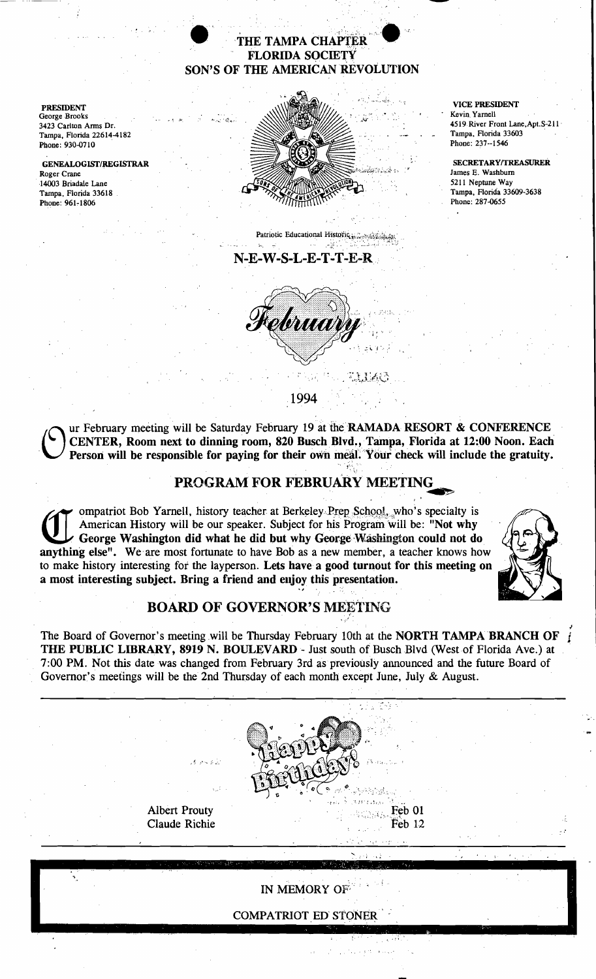### THE TAMPA CHAPTER **FLORIDA SOCIETY** SON'S OF THE AMERICAN REVOLUTION

**PRESIDENT** George Brooks 3423 Carlton Arms Dr. Tampa, Florida 22614-4182 Phone: 930-0710

**GENEALOGIST/REGISTRAR** Roger Crane 14003 Briadale Lane Tampa, Florida 33618 Phone: 961-1806



# Patriotic Educational Historic, and Takes

#### N-E-W-S-L-E-T-T-E-R



**VICE PRESIDENT** Kevin Yarnell 4519 River Front Lane, Apt. S-211 Tampa, Florida 33603 Phone: 237-1546

SECRETARY/TREASURER James E. Washburn 5211 Neptune Way Tampa, Florida 33609-3638 Phone: 287-0655

1994

ur February meeting will be Saturday February 19 at the RAMADA RESORT & CONFERENCE CENTER, Room next to dinning room, 820 Busch Blvd., Tampa, Florida at 12:00 Noon. Each Person will be responsible for paying for their own meal. Your check will include the gratuity.

# PROGRAM FOR FEBRUARY MEETING

ompatriot Bob Yarnell, history teacher at Berkeley Prep School, who's specialty is American History will be our speaker. Subject for his Program will be: "Not why George Washington did what he did but why George Washington could not do anything else". We are most fortunate to have Bob as a new member, a teacher knows how to make history interesting for the layperson. Lets have a good turnout for this meeting on a most interesting subject. Bring a friend and enjoy this presentation.



# **BOARD OF GOVERNOR'S MEETING**

The Board of Governor's meeting will be Thursday February 10th at the NORTH TAMPA BRANCH OF i THE PUBLIC LIBRARY, 8919 N. BOULEVARD - Just south of Busch Blvd (West of Florida Ave.) at 7:00 PM. Not this date was changed from February 3rd as previously announced and the future Board of Governor's meetings will be the 2nd Thursday of each month except June, July & August.

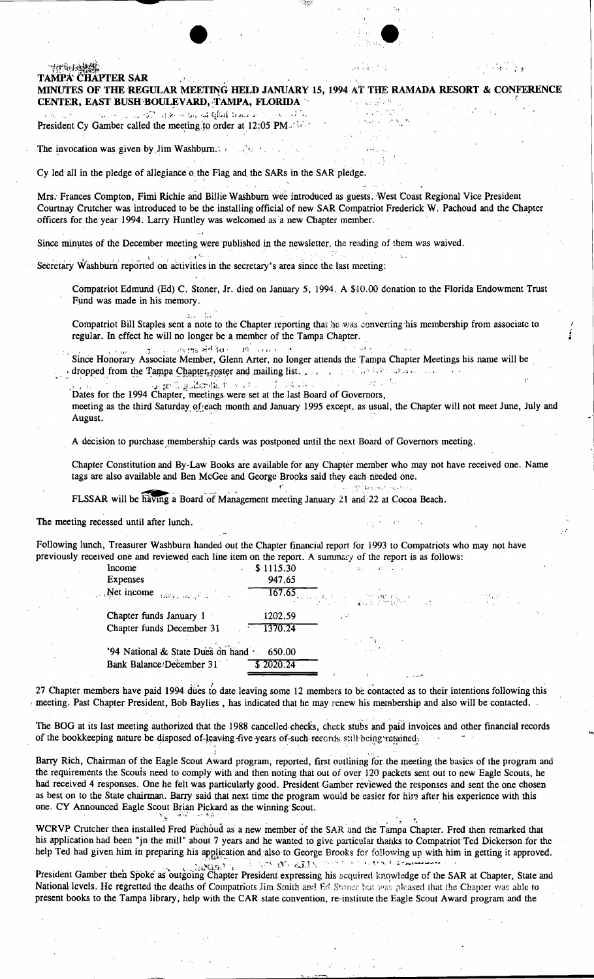| ツけ せんき                   |                                                                                                                                                                                                                                                                                                                                                                                                 |                                                                                                                                                                                                                                |           |                                                                                                                                                                                                                                                                                                                                                                                                                                                                                                                             |                                                                                                                                                                                                                                                                                                                                                                                                                      |  |
|--------------------------|-------------------------------------------------------------------------------------------------------------------------------------------------------------------------------------------------------------------------------------------------------------------------------------------------------------------------------------------------------------------------------------------------|--------------------------------------------------------------------------------------------------------------------------------------------------------------------------------------------------------------------------------|-----------|-----------------------------------------------------------------------------------------------------------------------------------------------------------------------------------------------------------------------------------------------------------------------------------------------------------------------------------------------------------------------------------------------------------------------------------------------------------------------------------------------------------------------------|----------------------------------------------------------------------------------------------------------------------------------------------------------------------------------------------------------------------------------------------------------------------------------------------------------------------------------------------------------------------------------------------------------------------|--|
| <b>TAMPA CHAPTER SAR</b> |                                                                                                                                                                                                                                                                                                                                                                                                 |                                                                                                                                                                                                                                |           |                                                                                                                                                                                                                                                                                                                                                                                                                                                                                                                             |                                                                                                                                                                                                                                                                                                                                                                                                                      |  |
|                          | MINUTES OF THE REGULAR MEETING HELD JANUARY 15, 1994 AT THE RAMADA RESORT & CONFERENCE                                                                                                                                                                                                                                                                                                          |                                                                                                                                                                                                                                |           |                                                                                                                                                                                                                                                                                                                                                                                                                                                                                                                             |                                                                                                                                                                                                                                                                                                                                                                                                                      |  |
|                          | CENTER, EAST BUSH BOULEVARD, TAMPA, FLORIDA                                                                                                                                                                                                                                                                                                                                                     |                                                                                                                                                                                                                                |           | 不好 医链状菌                                                                                                                                                                                                                                                                                                                                                                                                                                                                                                                     |                                                                                                                                                                                                                                                                                                                                                                                                                      |  |
|                          | $\epsilon$ is a general set of the second second control of $\epsilon$ . The second second second second second second second second second second second second second second second second second second second second second second se                                                                                                                                                       |                                                                                                                                                                                                                                |           |                                                                                                                                                                                                                                                                                                                                                                                                                                                                                                                             |                                                                                                                                                                                                                                                                                                                                                                                                                      |  |
|                          | President Cy Gamber called the meeting to order at 12:05 PM and the                                                                                                                                                                                                                                                                                                                             |                                                                                                                                                                                                                                |           |                                                                                                                                                                                                                                                                                                                                                                                                                                                                                                                             |                                                                                                                                                                                                                                                                                                                                                                                                                      |  |
|                          | The invocation was given by Jim Washburn.                                                                                                                                                                                                                                                                                                                                                       |                                                                                                                                                                                                                                |           |                                                                                                                                                                                                                                                                                                                                                                                                                                                                                                                             |                                                                                                                                                                                                                                                                                                                                                                                                                      |  |
|                          |                                                                                                                                                                                                                                                                                                                                                                                                 |                                                                                                                                                                                                                                |           |                                                                                                                                                                                                                                                                                                                                                                                                                                                                                                                             |                                                                                                                                                                                                                                                                                                                                                                                                                      |  |
|                          | Cy led all in the pledge of allegiance o the Flag and the SARs in the SAR pledge.                                                                                                                                                                                                                                                                                                               |                                                                                                                                                                                                                                |           |                                                                                                                                                                                                                                                                                                                                                                                                                                                                                                                             |                                                                                                                                                                                                                                                                                                                                                                                                                      |  |
|                          |                                                                                                                                                                                                                                                                                                                                                                                                 |                                                                                                                                                                                                                                |           |                                                                                                                                                                                                                                                                                                                                                                                                                                                                                                                             |                                                                                                                                                                                                                                                                                                                                                                                                                      |  |
|                          | Mrs. Frances Compton, Fimi Richie and Billie Washburn wee introduced as guests. West Coast Regional Vice President<br>Courtnay Crutcher was introduced to be the installing official of new SAR Compatriot Frederick W. Pachoud and the Chapter<br>officers for the year 1994. Larry Huntley was welcomed as a new Chapter member.                                                              |                                                                                                                                                                                                                                |           |                                                                                                                                                                                                                                                                                                                                                                                                                                                                                                                             |                                                                                                                                                                                                                                                                                                                                                                                                                      |  |
|                          | Since minutes of the December meeting were published in the newsletter, the reading of them was waived.                                                                                                                                                                                                                                                                                         |                                                                                                                                                                                                                                |           |                                                                                                                                                                                                                                                                                                                                                                                                                                                                                                                             |                                                                                                                                                                                                                                                                                                                                                                                                                      |  |
|                          | Secretary Washburn reported on activities in the secretary's area since the last meeting:                                                                                                                                                                                                                                                                                                       |                                                                                                                                                                                                                                |           |                                                                                                                                                                                                                                                                                                                                                                                                                                                                                                                             |                                                                                                                                                                                                                                                                                                                                                                                                                      |  |
|                          | Compatriot Edmund (Ed) C. Stoner, Jr. died on January 5, 1994. A \$10.00 donation to the Florida Endowment Trust<br>Fund was made in his memory.                                                                                                                                                                                                                                                |                                                                                                                                                                                                                                |           |                                                                                                                                                                                                                                                                                                                                                                                                                                                                                                                             |                                                                                                                                                                                                                                                                                                                                                                                                                      |  |
|                          | Compatriot Bill Staples sent a note to the Chapter reporting that he was converting his membership from associate to<br>regular. In effect he will no longer be a member of the Tampa Chapter.                                                                                                                                                                                                  |                                                                                                                                                                                                                                |           |                                                                                                                                                                                                                                                                                                                                                                                                                                                                                                                             |                                                                                                                                                                                                                                                                                                                                                                                                                      |  |
|                          | Since Honorary Associate Member, Glenn Arter, no longer attends the Tampa Chapter Meetings his name will be<br>dropped from the Tampa Chapter roster and mailing list. And a series of the second contains and                                                                                                                                                                                  | of a sympathion in community                                                                                                                                                                                                   |           |                                                                                                                                                                                                                                                                                                                                                                                                                                                                                                                             |                                                                                                                                                                                                                                                                                                                                                                                                                      |  |
|                          |                                                                                                                                                                                                                                                                                                                                                                                                 | specification is a construction of the construction of the construction of the construction of the construction of the construction of the construction of the construction of the construction of the construction of the con |           | المؤاد والموارد والمتعاد                                                                                                                                                                                                                                                                                                                                                                                                                                                                                                    |                                                                                                                                                                                                                                                                                                                                                                                                                      |  |
|                          | Dates for the 1994 Chapter, meetings were set at the last Board of Governors,<br>meeting as the third Saturday of each month and January 1995 except, as usual, the Chapter will not meet June, July and                                                                                                                                                                                        |                                                                                                                                                                                                                                |           |                                                                                                                                                                                                                                                                                                                                                                                                                                                                                                                             |                                                                                                                                                                                                                                                                                                                                                                                                                      |  |
| August.                  |                                                                                                                                                                                                                                                                                                                                                                                                 |                                                                                                                                                                                                                                |           |                                                                                                                                                                                                                                                                                                                                                                                                                                                                                                                             |                                                                                                                                                                                                                                                                                                                                                                                                                      |  |
|                          | A decision to purchase membership cards was postponed until the next Board of Governors meeting.                                                                                                                                                                                                                                                                                                |                                                                                                                                                                                                                                |           |                                                                                                                                                                                                                                                                                                                                                                                                                                                                                                                             |                                                                                                                                                                                                                                                                                                                                                                                                                      |  |
|                          |                                                                                                                                                                                                                                                                                                                                                                                                 |                                                                                                                                                                                                                                |           |                                                                                                                                                                                                                                                                                                                                                                                                                                                                                                                             |                                                                                                                                                                                                                                                                                                                                                                                                                      |  |
|                          | Chapter Constitution and By-Law Books are available for any Chapter member who may not have received one. Name<br>tags are also available and Ben McGee and George Brooks said they each needed one.                                                                                                                                                                                            |                                                                                                                                                                                                                                |           |                                                                                                                                                                                                                                                                                                                                                                                                                                                                                                                             |                                                                                                                                                                                                                                                                                                                                                                                                                      |  |
|                          |                                                                                                                                                                                                                                                                                                                                                                                                 |                                                                                                                                                                                                                                |           | 化二碳烷 整体机构 化乙烯基甲基苯                                                                                                                                                                                                                                                                                                                                                                                                                                                                                                           |                                                                                                                                                                                                                                                                                                                                                                                                                      |  |
|                          | FLSSAR will be having a Board of Management meeting January 21 and 22 at Cocoa Beach.                                                                                                                                                                                                                                                                                                           |                                                                                                                                                                                                                                |           |                                                                                                                                                                                                                                                                                                                                                                                                                                                                                                                             |                                                                                                                                                                                                                                                                                                                                                                                                                      |  |
|                          | The meeting recessed until after lunch.                                                                                                                                                                                                                                                                                                                                                         |                                                                                                                                                                                                                                |           | provided and                                                                                                                                                                                                                                                                                                                                                                                                                                                                                                                |                                                                                                                                                                                                                                                                                                                                                                                                                      |  |
|                          |                                                                                                                                                                                                                                                                                                                                                                                                 |                                                                                                                                                                                                                                |           |                                                                                                                                                                                                                                                                                                                                                                                                                                                                                                                             |                                                                                                                                                                                                                                                                                                                                                                                                                      |  |
|                          | Following lunch, Treasurer Washburn handed out the Chapter financial report for 1993 to Compatriots who may not have                                                                                                                                                                                                                                                                            |                                                                                                                                                                                                                                |           |                                                                                                                                                                                                                                                                                                                                                                                                                                                                                                                             |                                                                                                                                                                                                                                                                                                                                                                                                                      |  |
|                          | previously received one and reviewed each line item on the report. A summary of the report is as follows:                                                                                                                                                                                                                                                                                       |                                                                                                                                                                                                                                |           |                                                                                                                                                                                                                                                                                                                                                                                                                                                                                                                             |                                                                                                                                                                                                                                                                                                                                                                                                                      |  |
|                          | Income                                                                                                                                                                                                                                                                                                                                                                                          | $\mathcal{L}^{\text{max}}$                                                                                                                                                                                                     | \$1115.30 |                                                                                                                                                                                                                                                                                                                                                                                                                                                                                                                             |                                                                                                                                                                                                                                                                                                                                                                                                                      |  |
|                          | <b>Expenses</b>                                                                                                                                                                                                                                                                                                                                                                                 |                                                                                                                                                                                                                                | 947.65    |                                                                                                                                                                                                                                                                                                                                                                                                                                                                                                                             |                                                                                                                                                                                                                                                                                                                                                                                                                      |  |
|                          | Net income $\lim_{x \to 0} y$ , $\lim_{x \to 0} y$                                                                                                                                                                                                                                                                                                                                              |                                                                                                                                                                                                                                | 167.65    | $\label{eq:2} \frac{\partial \mathcal{L}^{\text{c}}}{\partial \mathcal{L}^{\text{c}} \mathcal{L}^{\text{c}}} = \frac{\partial \mathcal{L}^{\text{c}}}{\partial \mathcal{L}^{\text{c}}} = \frac{\partial \mathcal{L}^{\text{c}}}{\partial \mathcal{L}^{\text{c}}} = \frac{\partial \mathcal{L}^{\text{c}}}{\partial \mathcal{L}^{\text{c}}} = \frac{\partial \mathcal{L}^{\text{c}}}{\partial \mathcal{L}^{\text{c}}} = \frac{\partial \mathcal{L}^{\text{c}}}{\partial \mathcal{L}^{\text{c}}} = \frac{\partial \mathcal{L$ | $\label{eq:2} \frac{1}{2\pi}\frac{1}{2}\frac{1}{2}\frac{1}{2}\frac{1}{2}\frac{1}{2}\frac{1}{2}\frac{1}{2}\frac{1}{2}\frac{1}{2}\frac{1}{2}\frac{1}{2}\frac{1}{2}\frac{1}{2}\frac{1}{2}\frac{1}{2}\frac{1}{2}\frac{1}{2}\frac{1}{2}\frac{1}{2}\frac{1}{2}\frac{1}{2}\frac{1}{2}\frac{1}{2}\frac{1}{2}\frac{1}{2}\frac{1}{2}\frac{1}{2}\frac{1}{2}\frac{1}{2}\frac{1}{2}\frac{1}{2}\frac{1}{2}\frac{1}{2}\frac{1}{2}\$ |  |
|                          | Chapter funds January 1                                                                                                                                                                                                                                                                                                                                                                         |                                                                                                                                                                                                                                | 1202.59   | $\sim 10^{-1}$                                                                                                                                                                                                                                                                                                                                                                                                                                                                                                              |                                                                                                                                                                                                                                                                                                                                                                                                                      |  |
|                          | Chapter funds December 31                                                                                                                                                                                                                                                                                                                                                                       |                                                                                                                                                                                                                                | 1370.24   |                                                                                                                                                                                                                                                                                                                                                                                                                                                                                                                             |                                                                                                                                                                                                                                                                                                                                                                                                                      |  |
|                          |                                                                                                                                                                                                                                                                                                                                                                                                 |                                                                                                                                                                                                                                |           |                                                                                                                                                                                                                                                                                                                                                                                                                                                                                                                             |                                                                                                                                                                                                                                                                                                                                                                                                                      |  |
|                          | '94 National & State Dues on hand                                                                                                                                                                                                                                                                                                                                                               |                                                                                                                                                                                                                                | 650.00    |                                                                                                                                                                                                                                                                                                                                                                                                                                                                                                                             |                                                                                                                                                                                                                                                                                                                                                                                                                      |  |
|                          | Bank Balance December 31                                                                                                                                                                                                                                                                                                                                                                        |                                                                                                                                                                                                                                | \$2020.24 |                                                                                                                                                                                                                                                                                                                                                                                                                                                                                                                             |                                                                                                                                                                                                                                                                                                                                                                                                                      |  |
|                          | 27 Chapter members have paid 1994 dues to date leaving some 12 members to be contacted as to their intentions following this<br>meeting. Past Chapter President, Bob Baylies, has indicated that he may renew his membership and also will be contacted.                                                                                                                                        |                                                                                                                                                                                                                                |           |                                                                                                                                                                                                                                                                                                                                                                                                                                                                                                                             |                                                                                                                                                                                                                                                                                                                                                                                                                      |  |
|                          | The BOG at its last meeting authorized that the 1988 cancelled checks, check stubs and paid invoices and other financial records<br>of the bookkeeping nature be disposed of leaving five years of such records still being retained.                                                                                                                                                           |                                                                                                                                                                                                                                |           |                                                                                                                                                                                                                                                                                                                                                                                                                                                                                                                             |                                                                                                                                                                                                                                                                                                                                                                                                                      |  |
|                          |                                                                                                                                                                                                                                                                                                                                                                                                 |                                                                                                                                                                                                                                |           |                                                                                                                                                                                                                                                                                                                                                                                                                                                                                                                             |                                                                                                                                                                                                                                                                                                                                                                                                                      |  |
|                          | Barry Rich, Chairman of the Eagle Scout Award program, reported, first outlining for the meeting the basics of the program and<br>the requirements the Scouts need to comply with and then noting that out of over 120 packets sent out to new Eagle Scouts, he<br>had received 4 responses. One he felt was particularly good. President Gamber reviewed the responses and sent the one chosen |                                                                                                                                                                                                                                |           |                                                                                                                                                                                                                                                                                                                                                                                                                                                                                                                             |                                                                                                                                                                                                                                                                                                                                                                                                                      |  |

as best on to the State chairman. Barry said that next time the program would be easier for him after his experience with this one. CY Announced Eagle Scout Brian Pickard as the winning Scout. نې<br>تاريخ WCRVP Crutcher then installed Fred Pachoud as a new member of the SAR and the Tampa Chapter. Fred then remarked that

his application had been "in the mill" about 7 years and he wanted to give particular thanks to Compatriot Ted Dickerson for the help Ted had given him in preparing his application and also to George Brooks for following up with him in getting it approved. President Gamber then Spoke as outgoing Chapter President expressing his acquired knowledge of the SAR at Chapter, State and

National levels. He regretted the deaths of Compatriots Jim Smith and Ed Stones but was pleased that the Chapter was able to present books to the Tampa library, help with the CAR state convention, re-institute the Eagle Scout Award program and the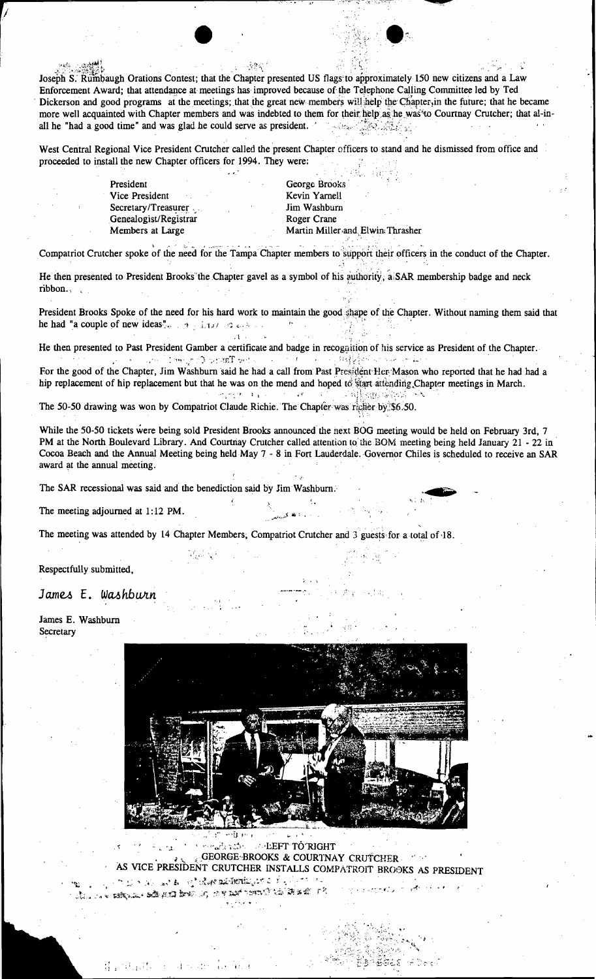小伙伴的

Joseph S. Rumbaugh Orations Contest; that the Chapter presented US flags to approximately 150 new citizens and a Law Enforcement Award; that attendance at meetings has improved because of the Telephone Calling Committee led by Ted Dickerson and good programs at the meetings; that the great new members will help the Chapter, in the future; that he became more well acquainted with Chapter members and was indebted to them for their help as he was to Courtnay Crutcher; that al-inall he "had a good time" and was glad he could serve as president. 

West Central Regional Vice President Crutcher called the present Chapter officers to stand and he dismissed from office and proceeded to install the new Chapter officers for 1994. They were:

> President Vice President Secretary/Treasurer Genealogist/Registrar Members at Large

George Brooks Kevin Yarnell Jim Washburn Roger Crane Martin Miller and Elwin Thrasher

Compatriot Crutcher spoke of the need for the Tampa Chapter members to support their officers in the conduct of the Chapter.

He then presented to President Brooks the Chapter gavel as a symbol of his authority, a SAR membership badge and neck ribbon.,

President Brooks Spoke of the need for his hard work to maintain the good shape of the Chapter. Without naming them said that he had "a couple of new ideas".  $\mathcal{A}_{\mathcal{I}}$  is not seek that

He then presented to Past President Gamber a certificate and badge in recognition of his service as President of the Chapter. a bet Tanjur Conjern Colombia  $\mathcal{L}^{\mathcal{A}}(\mathcal{A})=\mathcal{L}^{\mathcal{A}}(\mathcal{A})=\mathcal{L}^{\mathcal{A}}(\mathcal{A})=\mathcal{L}^{\mathcal{A}}(\mathcal{A})$  . The contribution of the set of  $\mathcal{A}$ 

For the good of the Chapter, Jim Washburn said he had a call from Past President Her Mason who reported that he had had a hip replacement of hip replacement but that he was on the mend and hoped to start attending Chapter meetings in March. بالهالات فيرجل  $\mathcal{O}(\mathcal{F})=\mathcal{G}(\mathcal{C})$ **1990年 11月 网络家庭学习** 

The 50-50 drawing was won by Compatriot Claude Richie. The Chapter was richer by \$6.50.

 $\cdot$  1

While the 50-50 tickets were being sold President Brooks announced the next BOG meeting would be held on February 3rd, 7 PM at the North Boulevard Library. And Courtnay Crutcher called attention to the BOM meeting being held January 21 - 22 in Cocoa Beach and the Annual Meeting being held May 7 - 8 in Fort Lauderdale. Governor Chiles is scheduled to receive an SAR award at the annual meeting.

The SAR recessional was said and the benediction said by Jim Washburn.

The meeting adjourned at 1:12 PM.

The meeting was attended by 14 Chapter Members, Compatriot Crutcher and 3 guests for a total of 18.

Respectfully submitted,

#### James E. Washburn

James E. Washburn Secretary



Samalandis **ELEFT TÓ RIGHT** 14. GEORGE BROOKS & COURTNAY CRUTCHER AS VICE PRESIDENT CRUTCHER INSTALLS COMPATROIT BROOKS AS PRESIDENT

i c

ිරී බල වෙළි නම් දේ ශ්*ෂණ*්ත්බුණද නිදවුණ ක in mas shad but in cymtoni'i sin a c